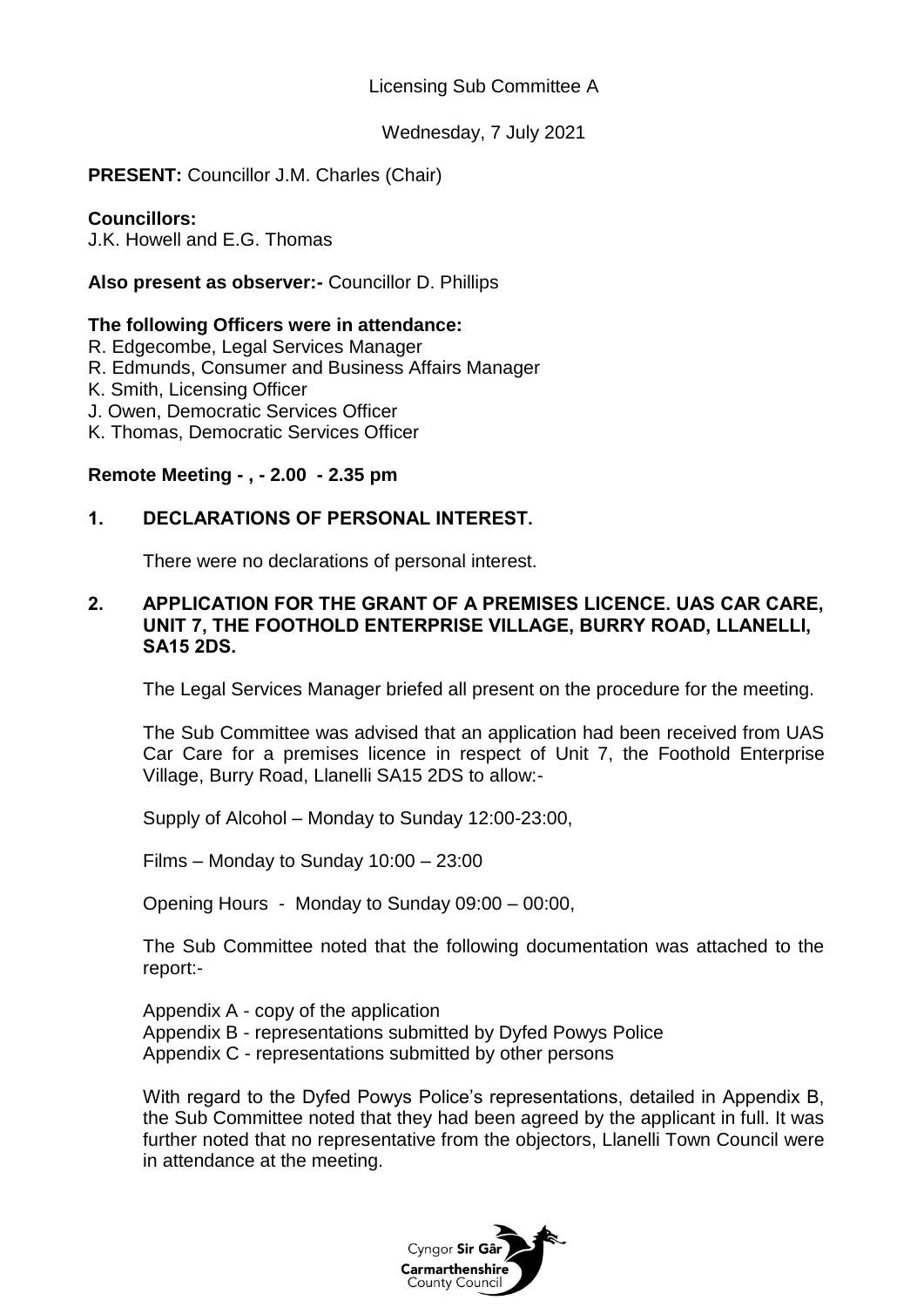Licensing Sub Committee A

Wednesday, 7 July 2021

**PRESENT:** Councillor J.M. Charles (Chair)

### **Councillors:**

J.K. Howell and E.G. Thomas

## **Also present as observer:-** Councillor D. Phillips

### **The following Officers were in attendance:**

- R. Edgecombe, Legal Services Manager
- R. Edmunds, Consumer and Business Affairs Manager
- K. Smith, Licensing Officer
- J. Owen, Democratic Services Officer
- K. Thomas, Democratic Services Officer

# **Remote Meeting - , - 2.00 - 2.35 pm**

# **1. DECLARATIONS OF PERSONAL INTEREST.**

There were no declarations of personal interest.

#### **2. APPLICATION FOR THE GRANT OF A PREMISES LICENCE. UAS CAR CARE, UNIT 7, THE FOOTHOLD ENTERPRISE VILLAGE, BURRY ROAD, LLANELLI, SA15 2DS.**

The Legal Services Manager briefed all present on the procedure for the meeting.

The Sub Committee was advised that an application had been received from UAS Car Care for a premises licence in respect of Unit 7, the Foothold Enterprise Village, Burry Road, Llanelli SA15 2DS to allow:-

Supply of Alcohol – Monday to Sunday 12:00-23:00,

Films – Monday to Sunday 10:00 – 23:00

Opening Hours - Monday to Sunday 09:00 – 00:00,

The Sub Committee noted that the following documentation was attached to the report:-

Appendix A - copy of the application Appendix B - representations submitted by Dyfed Powys Police Appendix C - representations submitted by other persons

With regard to the Dyfed Powys Police's representations, detailed in Appendix B. the Sub Committee noted that they had been agreed by the applicant in full. It was further noted that no representative from the objectors, Llanelli Town Council were in attendance at the meeting.

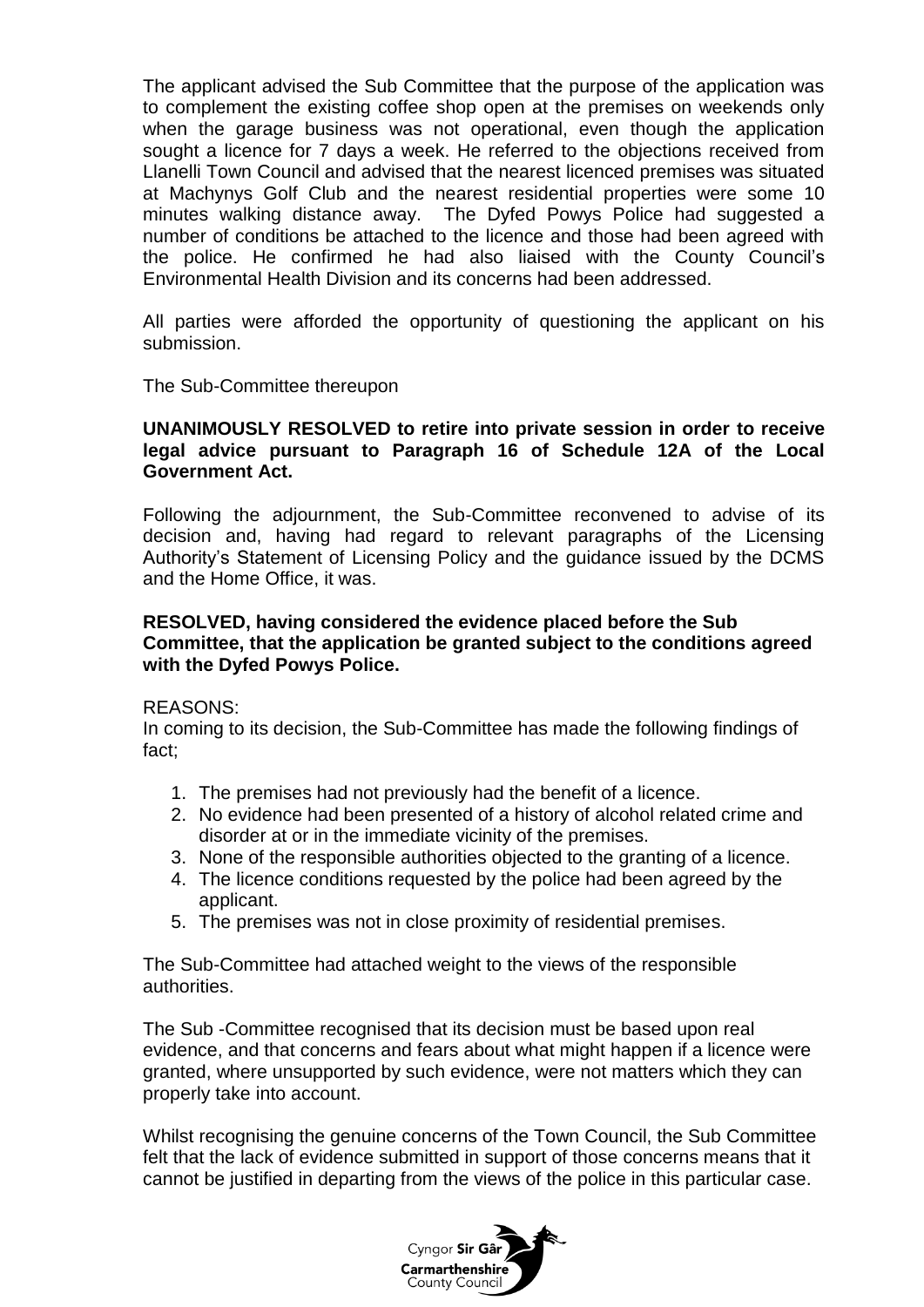The applicant advised the Sub Committee that the purpose of the application was to complement the existing coffee shop open at the premises on weekends only when the garage business was not operational, even though the application sought a licence for 7 days a week. He referred to the objections received from Llanelli Town Council and advised that the nearest licenced premises was situated at Machynys Golf Club and the nearest residential properties were some 10 minutes walking distance away. The Dyfed Powys Police had suggested a number of conditions be attached to the licence and those had been agreed with the police. He confirmed he had also liaised with the County Council's Environmental Health Division and its concerns had been addressed.

All parties were afforded the opportunity of questioning the applicant on his submission.

The Sub-Committee thereupon

### **UNANIMOUSLY RESOLVED to retire into private session in order to receive legal advice pursuant to Paragraph 16 of Schedule 12A of the Local Government Act.**

Following the adjournment, the Sub-Committee reconvened to advise of its decision and, having had regard to relevant paragraphs of the Licensing Authority's Statement of Licensing Policy and the guidance issued by the DCMS and the Home Office, it was.

### **RESOLVED, having considered the evidence placed before the Sub Committee, that the application be granted subject to the conditions agreed with the Dyfed Powys Police.**

### REASONS:

In coming to its decision, the Sub-Committee has made the following findings of fact;

- 1. The premises had not previously had the benefit of a licence.
- 2. No evidence had been presented of a history of alcohol related crime and disorder at or in the immediate vicinity of the premises.
- 3. None of the responsible authorities objected to the granting of a licence.
- 4. The licence conditions requested by the police had been agreed by the applicant.
- 5. The premises was not in close proximity of residential premises.

The Sub-Committee had attached weight to the views of the responsible authorities.

The Sub -Committee recognised that its decision must be based upon real evidence, and that concerns and fears about what might happen if a licence were granted, where unsupported by such evidence, were not matters which they can properly take into account.

Whilst recognising the genuine concerns of the Town Council, the Sub Committee felt that the lack of evidence submitted in support of those concerns means that it cannot be justified in departing from the views of the police in this particular case.